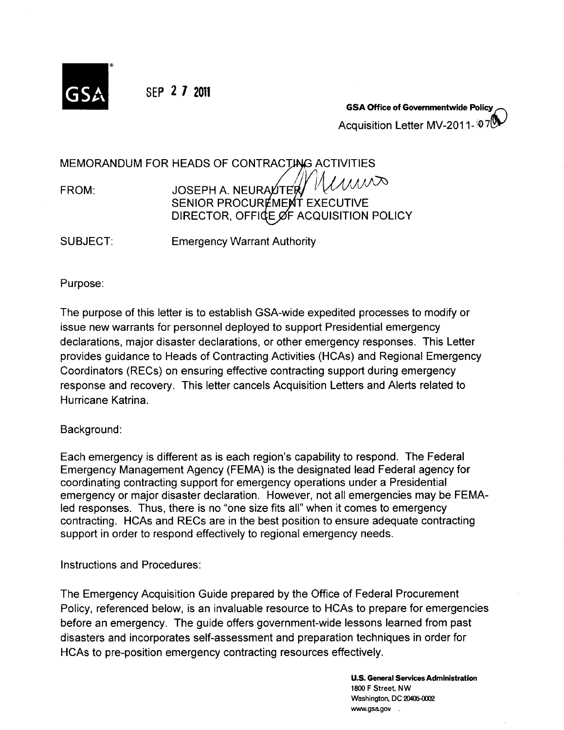

SEP **2 1 <sup>2011</sup>**

**GSA Office of Governmentwide Policy** Acquisition Letter MV-2011- 07

MEMORANDUM FOR HEADS OF CONTRACTING ACTIVITIES

*l{iA;vVN0*  FROM: JOSEPH A. NEURALTER SENIOR PROCUREMENT EXECUTIVE DIRECTOR, OFFICE OF ACQUISITION POLICY

SUBJECT: Emergency Warrant Authority

Purpose:

The purpose of this letter is to establish GSA-wide expedited processes to modify or issue new warrants for personnel deployed to support Presidential emergency declarations, major disaster declarations, or other emergency responses. This Letter provides guidance to Heads of Contracting Activities (HCAs) and Regional Emergency Coordinators (REGs) on ensuring effective contracting support during emergency response and recovery. This letter cancels Acquisition Letters and Alerts related to Hurricane Katrina.

Background:

Each emergency is different as is each region's capability to respond. The Federal Emergency Management Agency (FEMA) is the designated lead Federal agency for coordinating contracting support for emergency operations under a Presidential emergency or major disaster declaration. However, not all emergencies may be FEMA-Ied responses. Thus, there is no "one size fits all" when it comes to emergency contracting. HCAs and RECs are in the best position to ensure adequate contracting support in order to respond effectively to regional emergency needs.

Instructions and Procedures:

The Emergency Acquisition Guide prepared by the Office of Federal Procurement Policy, referenced below, is an invaluable resource to HCAs to prepare for emergencies before an emergency. The guide offers government-wide lessons learned from past disasters and incorporates self-assessment and preparation techniques in order for HCAs to pre-position emergency contracting resources effectively.

> U.S. General Services Administration 1800 F Street, NW Washington, DC 20405-0002 www.gsa.gov ,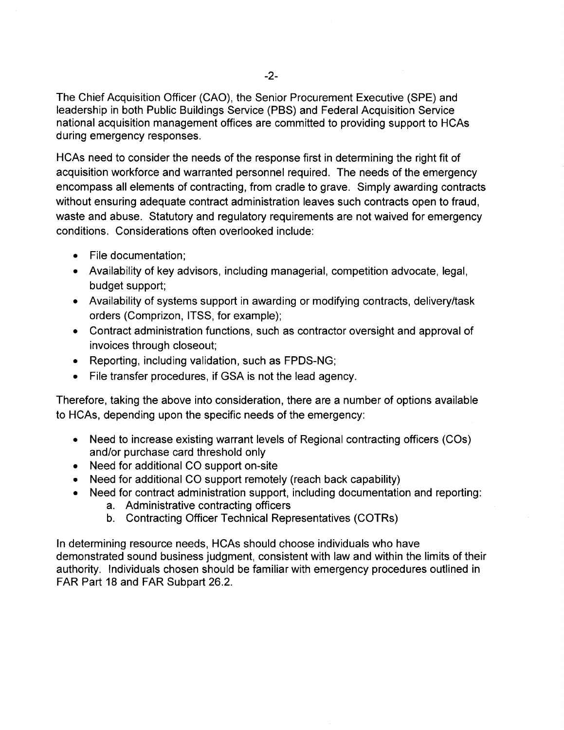The Chief Acquisition Officer (CAO), the Senior Procurement Executive (SPE) and leadership in both Public Buildings Service (PBS) and Federal Acquisition Service national acquisition management offices are committed to providing support to HCAs during emergency responses.

HCAs need to consider the needs of the response first in determining the right fit of acquisition workforce and warranted personnel required. The needs of the emergency encompass all elements of contracting, from cradle to grave. Simply awarding contracts without ensuring adequate contract administration leaves such contracts open to fraud, waste and abuse. Statutory and regulatory requirements are not waived for emergency conditions. Considerations often overlooked include:

- File documentation;
- Availability of key advisors, including managerial, competition advocate, legal, budget support;
- Availability of systems support in awarding or modifying contracts, delivery/task orders (Comprizon, ITSS, for example);
- Contract administration functions, such as contractor oversight and approval of invoices through closeout;
- Reporting, including validation, such as FPDS-NG;
- File transfer procedures, if GSA is not the lead agency.

Therefore, taking the above into consideration, there are a number of options available to HCAs, depending upon the specific needs of the emergency:

- Need to increase existing warrant levels of Regional contracting officers (COs) and/or purchase card threshold only
- Need for additional CO support on-site
- Need for additional CO support remotely (reach back capability)
- Need for contract administration support, including documentation and reporting:
	- a. Administrative contracting officers
	- b. Contracting Officer Technical Representatives (COTRs)

In determining resource needs, HCAs should choose individuals who have demonstrated sound business judgment, consistent with law and within the limits of their authority. Individuals chosen should be familiar with emergency procedures outlined in FAR Part 18 and FAR Subpart 26.2.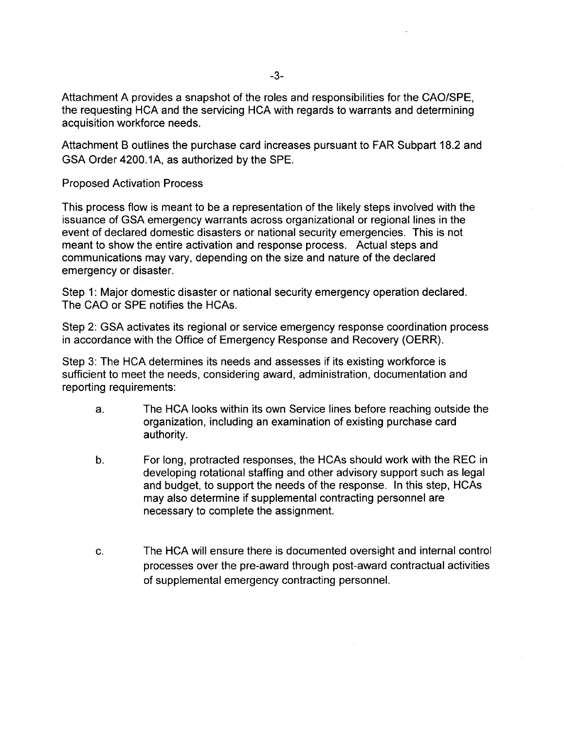Attachment A provides a snapshot of the roles and responsibilities for the GAO/SPE, the requesting HGA and the servicing HGA with regards to warrants and determining acquisition workforce needs.

Attachment B outlines the purchase card increases pursuant to FAR Subpart 18.2 and GSA Order 4200.1A, as authorized by the SPE.

### Proposed Activation Process

This process flow is meant to be a representation of the likely steps involved with the issuance of GSA emergency warrants across organizational or regional lines in the event of declared domestic disasters or national security emergencies. This is not meant to show the entire activation and response process. Actual steps and communications may vary, depending on the size and nature of the declared emergency or disaster.

Step 1: Major domestic disaster or national security emergency operation declared. The GAO or SPE notifies the HGAs.

Step 2: GSA activates its regional or service emergency response coordination process in accordance with the Office of Emergency Response and Recovery (OERR).

Step 3: The HGA determines its needs and assesses if its existing workforce is sufficient to meet the needs, considering award, administration, documentation and reporting requirements:

- a. The HGA looks within its own Service lines before reaching outside the organization, including an examination of existing purchase card authority.
- b. For long, protracted responses, the HGAs should work with the REG in developing rotational staffing and other advisory support such as legal and budget, to support the needs of the response. In this step, HGAs may also determine if supplemental contracting personnel are necessary to complete the assignment.
- c. The HGA will ensure there is documented oversight and internal control processes over the pre-award through post-award contractual activities of supplemental emergency contracting personnel.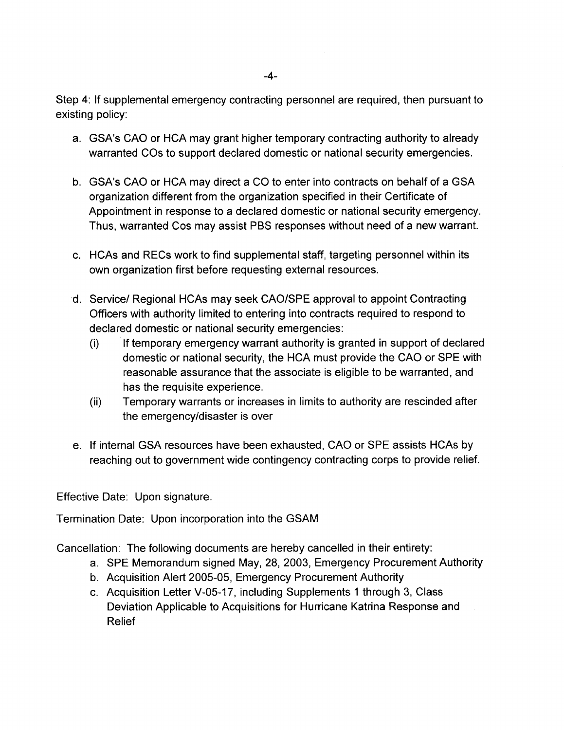Step 4: If supplemental emergency contracting personnel are required, then pursuant to existing policy:

- a. GSA's CAO or HCA may grant higher temporary contracting authority to already warranted COs to support declared domestic or national security emergencies.
- b. GSA's CAO or HCA may direct a CO to enter into contracts on behalf of a GSA organization different from the organization specified in their Certificate of Appointment in response to a declared domestic or national security emergency. Thus, warranted Cos may assist PBS responses without need of a new warrant.
- c. HCAs and REGs work to find supplemental staff, targeting personnel within its own organization first before requesting external resources.
- d. Service/ Regional HCAs may seek CAO/SPE approval to appoint Contracting Officers with authority limited to entering into contracts required to respond to declared domestic or national security emergencies:
	- (i) If temporary emergency warrant authority is granted in support of declared domestic or national security, the HCA must provide the CAO or SPE with reasonable assurance that the associate is eligible to be warranted, and has the requisite experience.
	- (ii) Temporary warrants or increases in limits to authority are rescinded after the emergency/disaster is over
- e. If internal GSA resources have been exhausted, CAO or SPE assists HCAs by reaching out to government wide contingency contracting corps to provide relief.

Effective Date: Upon signature.

Termination Date: Upon incorporation into the GSAM

Cancellation: The following documents are hereby cancelled in their entirety:

- a. SPE Memorandum signed May, 28, 2003, Emergency Procurement Authority
- b. Acquisition Alert 2005-05, Emergency Procurement Authority
- c. Acquisition Letter V-05-17, including Supplements 1 through 3, Class Deviation Applicable to Acquisitions for Hurricane Katrina Response and Relief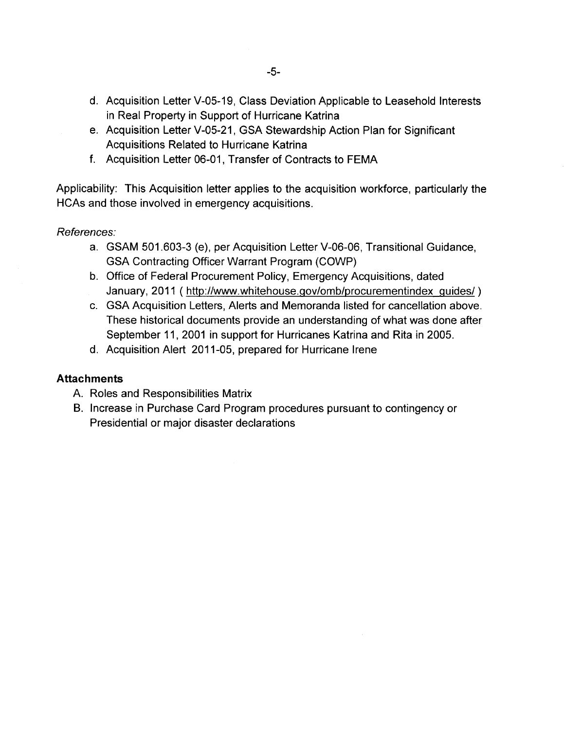- d. Acquisition Letter V-05-19, Class Deviation Applicable to Leasehold Interests in Real Property in Support of Hurricane Katrina
- e. Acquisition Letter V-05-21, GSA Stewardship Action Plan for Significant Acquisitions Related to Hurricane Katrina
- f. Acquisition Letter 06-01, Transfer of Contracts to FEMA

Applicability: This Acquisition letter applies to the acquisition workforce, particularly the HCAs and those involved in emergency acquisitions.

## References:

- a. GSAM 501.603-3 (e), per Acquisition Letter V-06-06, Transitional Guidance, GSA Contracting Officer Warrant Program (COWP)
- b. Office of Federal Procurement Policy, Emergency Acquisitions, dated January, 2011 ( http://www.whitehouse.gov/omb/procurementindex guides/)
- c. GSA Acquisition Letters, Alerts and Memoranda listed for cancellation above. These historical documents provide an understanding of what was done after September 11, 2001 in support for Hurricanes Katrina and Rita in 2005.
- d. Acquisition Alert 2011-05, prepared for Hurricane Irene

### **Attachments**

- A. Roles and Responsibilities Matrix
- B. Increase in Purchase Card Program procedures pursuant to contingency or Presidential or major disaster declarations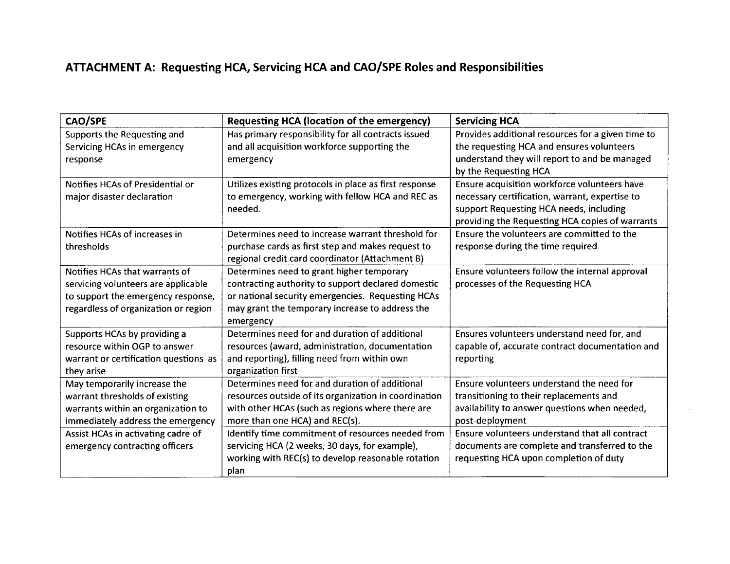# **ATTACHMENT A: Requesting HCA, Servicing HCA and CAO/SPE Roles and Responsibilities**

| CAO/SPE                               | Requesting HCA (location of the emergency)             | <b>Servicing HCA</b>                              |
|---------------------------------------|--------------------------------------------------------|---------------------------------------------------|
| Supports the Requesting and           | Has primary responsibility for all contracts issued    | Provides additional resources for a given time to |
| Servicing HCAs in emergency           | and all acquisition workforce supporting the           | the requesting HCA and ensures volunteers         |
| response                              | emergency                                              | understand they will report to and be managed     |
|                                       |                                                        | by the Requesting HCA                             |
| Notifies HCAs of Presidential or      | Utilizes existing protocols in place as first response | Ensure acquisition workforce volunteers have      |
| major disaster declaration            | to emergency, working with fellow HCA and REC as       | necessary certification, warrant, expertise to    |
|                                       | needed.                                                | support Requesting HCA needs, including           |
|                                       |                                                        | providing the Requesting HCA copies of warrants   |
| Notifies HCAs of increases in         | Determines need to increase warrant threshold for      | Ensure the volunteers are committed to the        |
| thresholds                            | purchase cards as first step and makes request to      | response during the time required                 |
|                                       | regional credit card coordinator (Attachment B)        |                                                   |
| Notifies HCAs that warrants of        | Determines need to grant higher temporary              | Ensure volunteers follow the internal approval    |
| servicing volunteers are applicable   | contracting authority to support declared domestic     | processes of the Requesting HCA                   |
| to support the emergency response,    | or national security emergencies. Requesting HCAs      |                                                   |
| regardless of organization or region  | may grant the temporary increase to address the        |                                                   |
|                                       | emergency                                              |                                                   |
| Supports HCAs by providing a          | Determines need for and duration of additional         | Ensures volunteers understand need for, and       |
| resource within OGP to answer         | resources (award, administration, documentation        | capable of, accurate contract documentation and   |
| warrant or certification questions as | and reporting), filling need from within own           | reporting                                         |
| they arise                            | organization first                                     |                                                   |
| May temporarily increase the          | Determines need for and duration of additional         | Ensure volunteers understand the need for         |
| warrant thresholds of existing        | resources outside of its organization in coordination  | transitioning to their replacements and           |
| warrants within an organization to    | with other HCAs (such as regions where there are       | availability to answer questions when needed,     |
| immediately address the emergency     | more than one HCA) and REC(s).                         | post-deployment                                   |
| Assist HCAs in activating cadre of    | Identify time commitment of resources needed from      | Ensure volunteers understand that all contract    |
| emergency contracting officers        | servicing HCA (2 weeks, 30 days, for example),         | documents are complete and transferred to the     |
|                                       | working with REC(s) to develop reasonable rotation     | requesting HCA upon completion of duty            |
|                                       | plan                                                   |                                                   |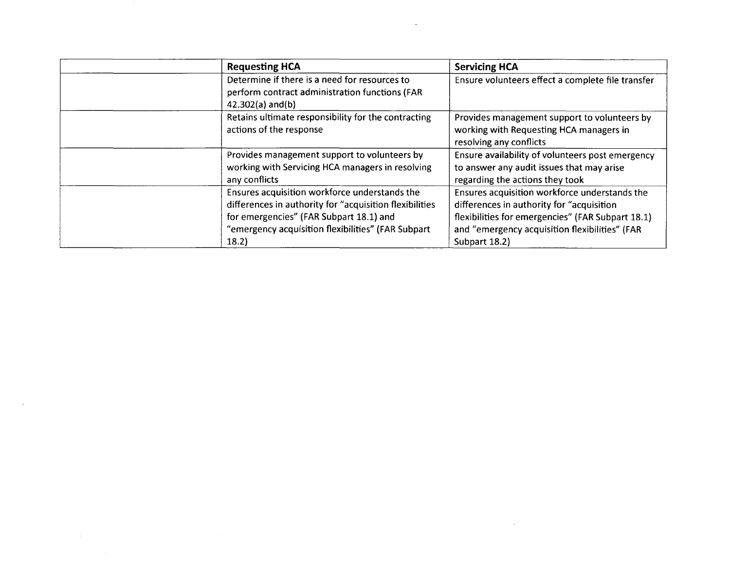| <b>Requesting HCA</b>                                                                                                                                                                                              | <b>Servicing HCA</b>                                                                                                                                                                                                |
|--------------------------------------------------------------------------------------------------------------------------------------------------------------------------------------------------------------------|---------------------------------------------------------------------------------------------------------------------------------------------------------------------------------------------------------------------|
| Determine if there is a need for resources to<br>perform contract administration functions (FAR<br>$42.302(a)$ and(b)                                                                                              | Ensure volunteers effect a complete file transfer                                                                                                                                                                   |
| Retains ultimate responsibility for the contracting<br>actions of the response                                                                                                                                     | Provides management support to volunteers by<br>working with Requesting HCA managers in<br>resolving any conflicts                                                                                                  |
| Provides management support to volunteers by<br>working with Servicing HCA managers in resolving<br>any conflicts                                                                                                  | Ensure availability of volunteers post emergency<br>to answer any audit issues that may arise<br>regarding the actions they took                                                                                    |
| Ensures acquisition workforce understands the<br>differences in authority for "acquisition flexibilities<br>for emergencies" (FAR Subpart 18.1) and<br>"emergency acquisition flexibilities" (FAR Subpart<br>18.2) | Ensures acquisition workforce understands the<br>differences in authority for "acquisition"<br>flexibilities for emergencies" (FAR Subpart 18.1)<br>and "emergency acquisition flexibilities" (FAR<br>Subpart 18.2) |

 $\mathcal{L}^{\text{max}}_{\text{max}}$  and  $\mathcal{L}^{\text{max}}_{\text{max}}$ 

 $\label{eq:2.1} \frac{1}{\sqrt{2}}\sum_{i=1}^n\frac{1}{\sqrt{2}}\sum_{i=1}^n\frac{1}{\sqrt{2}}\sum_{i=1}^n\frac{1}{\sqrt{2}}\sum_{i=1}^n\frac{1}{\sqrt{2}}\sum_{i=1}^n\frac{1}{\sqrt{2}}\sum_{i=1}^n\frac{1}{\sqrt{2}}\sum_{i=1}^n\frac{1}{\sqrt{2}}\sum_{i=1}^n\frac{1}{\sqrt{2}}\sum_{i=1}^n\frac{1}{\sqrt{2}}\sum_{i=1}^n\frac{1}{\sqrt{2}}\sum_{i=1}^n\frac$ 

 $\label{eq:2.1} \mathcal{L}_{\mathcal{A}}(x) = \mathcal{L}_{\mathcal{A}}(x) \mathcal{L}_{\mathcal{A}}(x) = \mathcal{L}_{\mathcal{A}}(x) \mathcal{L}_{\mathcal{A}}(x)$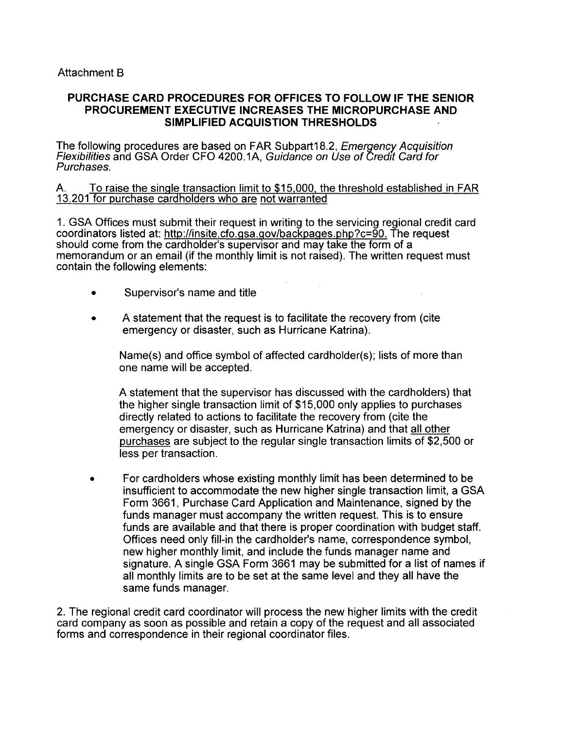#### **PURCHASE CARD PROCEDURES FOR OFFICES TO FOLLOW IF THE SENIOR PROCUREMENT EXECUTIVE INCREASES THE MICROPURCHASE AND SIMPLIFIED ACQUISTION THRESHOLDS**

The following procedures are based on FAR Subpart18.2, Emergency Acquisition Flexibilities and GSA Order CFO 4200.1A, Guidance on Use of Credit Card for Purchases.

A. To raise the single transaction limit to \$15.000. the threshold established in FAR 13.201 for purchase cardholders who are not warranted

1. GSA Offices must submit their request in writing to the servicing regional credit card coordinators listed at: http://insite.cfo.gsa.gov/backpages.php?c=90. The request should come from the cardholder's supervisor and may take the form of a memorandum or an email (if the monthly limit is not raised). The written request must contain the following elements:

- Supervisor's name and title
- A statement that the request is to facilitate the recovery from (cite emergency or disaster, such as Hurricane Katrina).

Name(s) and office symbol of affected cardholder(s); lists of more than one name will be accepted.

A statement that the supervisor has discussed with the cardholders) that the higher single transaction limit of \$15,000 only applies to purchases directly related to actions to facilitate the recovery from (cite the emergency or disaster, such as Hurricane Katrina) and that all other purchases are subject to the regular single transaction limits of \$2,500 or less per transaction.

• For cardholders whose existing monthly limit has been determined to be insufficient to accommodate the new higher single transaction limit, a GSA Form 3661, Purchase Card Application and Maintenance, signed by the funds manager must accompany the written request. This is to ensure funds are available and that there is proper coordination with budget staff. Offices need only fill-in the cardholder's name, correspondence symbol, new higher monthly limit, and include the funds manager name and signature. A single GSA Form 3661 may be submitted for a list of names if all monthly limits are to be set at the same level and they all have the same funds manager.

2. The regional credit card coordinator will process the new higher limits with the credit card company as soon as possible and retain a copy of the request and all associated forms and correspondence in their regional coordinator files.